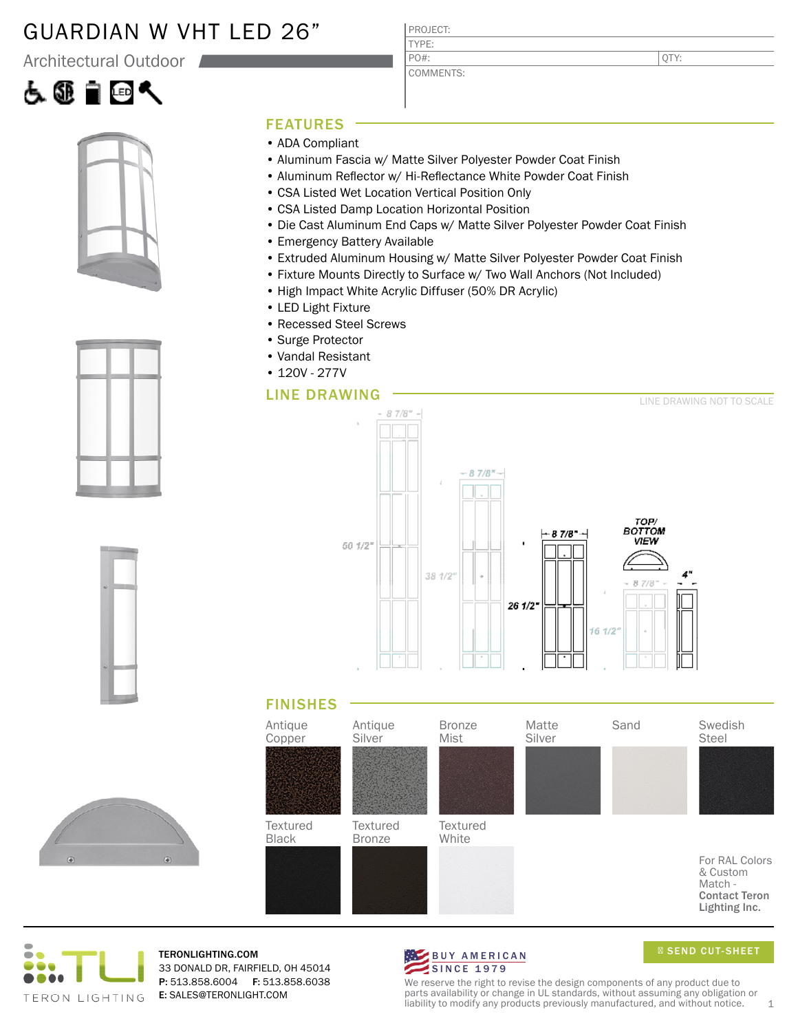### GUARDIAN W VHT LED 26"

Architectural Outdoor









#### FEATURES

- ADA Compliant
- Aluminum Fascia w/ Matte Silver Polyester Powder Coat Finish
- Aluminum Reflector w/ Hi-Reflectance White Powder Coat Finish
- CSA Listed Wet Location Vertical Position Only
- CSA Listed Damp Location Horizontal Position
- Die Cast Aluminum End Caps w/ Matte Silver Polyester Powder Coat Finish
- Emergency Battery Available
- Extruded Aluminum Housing w/ Matte Silver Polyester Powder Coat Finish
- Fixture Mounts Directly to Surface w/ Two Wall Anchors (Not Included)
- High Impact White Acrylic Diffuser (50% DR Acrylic)
- LED Light Fixture
- Recessed Steel Screws
- Surge Protector
- Vandal Resistant
- 120V 277V

#### LINE DRAWING



#### FINISHES





TERONLIGHTING.COM 33 DONALD DR, FAIRFIELD, OH 45014 P: 513.858.6004 F: 513.858.6038 E: SALES@TERONLIGHT.COM



SEND CUT-SHEET

We reserve the right to revise the design components of any product due to parts availability or change in UL standards, without assuming any obligation or liability to modify any products previously manufactured, and without notice.  $1$ 

PROJECT: TYPE: PO#:

COMMENTS:

QTY: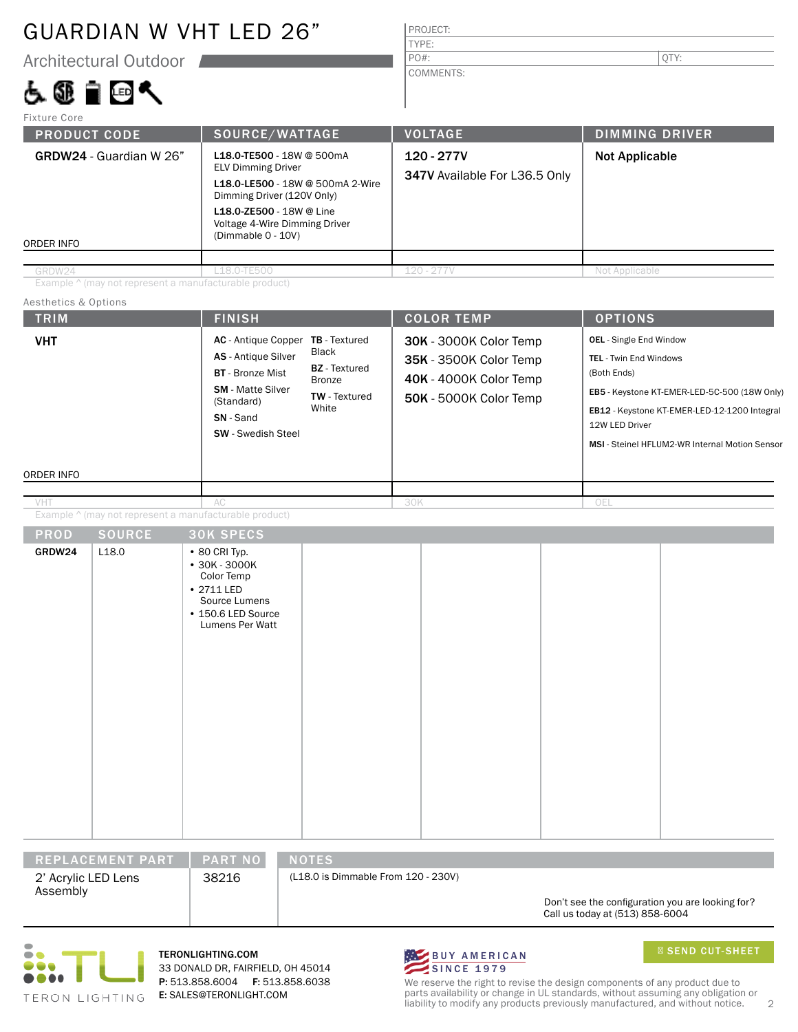## GUARDIAN W VHT LED 26"

Architectural Outdoor

## 占领自回气

VHT

VHT

| PROJECT:  |  |
|-----------|--|
| TYPE:     |  |
| PO#:      |  |
| COMMENTS: |  |

| <b>Fixture Core</b>                                                                                                                                                                                                                                         |                |                                             |                       |  |
|-------------------------------------------------------------------------------------------------------------------------------------------------------------------------------------------------------------------------------------------------------------|----------------|---------------------------------------------|-----------------------|--|
| <b>PRODUCT CODE</b>                                                                                                                                                                                                                                         | SOURCE/WATTAGE | <b>VOLTAGE</b>                              | <b>DIMMING DRIVER</b> |  |
| L18.0-TE500 - 18W @ 500mA<br><b>GRDW24</b> - Guardian W 26"<br><b>ELV Dimming Driver</b><br>L18.0-LE500 - 18W @ 500mA 2-Wire<br>Dimming Driver (120V Only)<br>L18.0-ZE500 - 18W @ Line<br>Voltage 4-Wire Dimming Driver<br>(Dimmable 0 - 10V)<br>ORDER INFO |                | 120 - 277V<br>347V Available For L36.5 Only | <b>Not Applicable</b> |  |
|                                                                                                                                                                                                                                                             |                |                                             |                       |  |
| GRDW24                                                                                                                                                                                                                                                      | L18.0-TE500    | $120 - 277V$                                | Not Applicable        |  |

Example ^ (may not represent a manufacturable product)

#### TRIM  $\vert$  Finish  $\vert$  Color Temp  $\vert$  Options ORDER INFO Aesthetics & Options PROD SOURCE Example ^ (may not represent a manufacturable product) OEL - Single End Window TEL - Twin End Windows (Both Ends) EB5 - Keystone KT-EMER-LED-5C-500 (18W Only) EB12 - Keystone KT-EMER-LED-12-1200 Integral 12W LED Driver MSI - Steinel HFLUM2-WR Internal Motion Sensor 30K SPECS GRDW24  $\vert$  L18.0 • 80 CRI Typ. • 30K - 3000K 30K - 3000K Color Temp 35K - 3500K Color Temp 40K - 4000K Color Temp 50K - 5000K Color Temp  $AC$  30K AC - Antique Copper TB - Textured AS - Antique Silver BT - Bronze Mist SM - Matte Silver (Standard) SN - Sand SW - Swedish Steel Black BZ - Textured Bronze TW - Textured **White**

| REPLACEMENT PART<br><b>PART NO</b><br><b>NOTES</b> |  |  |  |  |  |  |
|----------------------------------------------------|--|--|--|--|--|--|

| 2' Acrylic LED Lens |  |
|---------------------|--|
| Assembly            |  |

38216

(L18.0 is Dimmable From 120 - 230V)

Don't see the configuration you are looking for? Call us today at (513) 858-6004



TERONLIGHTING.COM 33 DONALD DR, FAIRFIELD, OH 45014 P: 513.858.6004 F: 513.858.6038 E: SALES@TERONLIGHT.COM



SEND CUT-SHEET

We reserve the right to revise the design components of any product due to parts availability or change in UL standards, without assuming any obligation or liability to modify any products previously manufactured, and without notice. 2